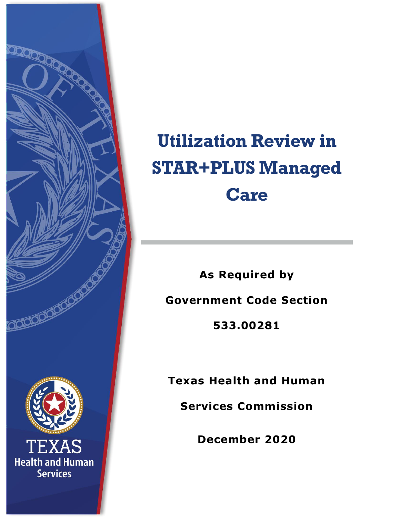

# **Utilization Review in STAR+PLUS Managed Care**

**As Required by Government Code Section** 

**533.00281**

**Texas Health and Human** 

**Services Commission**

**December 2020**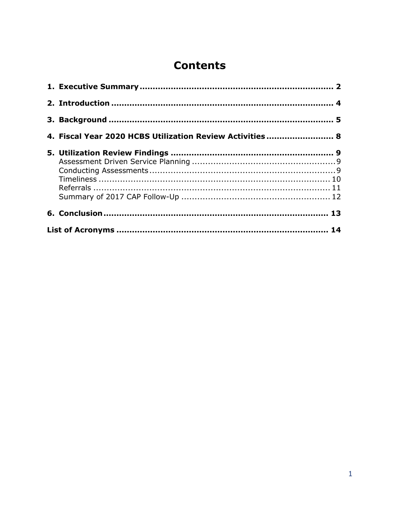### **Contents**

| 4. Fiscal Year 2020 HCBS Utilization Review Activities  8 |  |  |
|-----------------------------------------------------------|--|--|
|                                                           |  |  |
|                                                           |  |  |
|                                                           |  |  |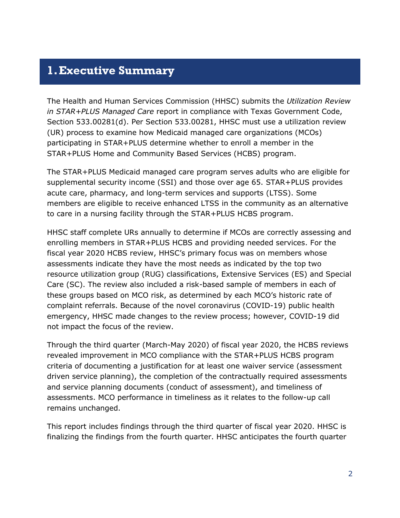#### <span id="page-2-0"></span>**1.Executive Summary**

The Health and Human Services Commission (HHSC) submits the *Utilization Review in STAR+PLUS Managed Care* report in compliance with Texas Government Code, Section 533.00281(d). Per Section 533.00281, HHSC must use a utilization review (UR) process to examine how Medicaid managed care organizations (MCOs) participating in STAR+PLUS determine whether to enroll a member in the STAR+PLUS Home and Community Based Services (HCBS) program.

The STAR+PLUS Medicaid managed care program serves adults who are eligible for supplemental security income (SSI) and those over age 65. STAR+PLUS provides acute care, pharmacy, and long-term services and supports (LTSS). Some members are eligible to receive enhanced LTSS in the community as an alternative to care in a nursing facility through the STAR+PLUS HCBS program.

HHSC staff complete URs annually to determine if MCOs are correctly assessing and enrolling members in STAR+PLUS HCBS and providing needed services. For the fiscal year 2020 HCBS review, HHSC's primary focus was on members whose assessments indicate they have the most needs as indicated by the top two resource utilization group (RUG) classifications, Extensive Services (ES) and Special Care (SC). The review also included a risk-based sample of members in each of these groups based on MCO risk, as determined by each MCO's historic rate of complaint referrals. Because of the novel coronavirus (COVID-19) public health emergency, HHSC made changes to the review process; however, COVID-19 did not impact the focus of the review.

Through the third quarter (March-May 2020) of fiscal year 2020, the HCBS reviews revealed improvement in MCO compliance with the STAR+PLUS HCBS program criteria of documenting a justification for at least one waiver service (assessment driven service planning), the completion of the contractually required assessments and service planning documents (conduct of assessment), and timeliness of assessments. MCO performance in timeliness as it relates to the follow-up call remains unchanged.

This report includes findings through the third quarter of fiscal year 2020. HHSC is finalizing the findings from the fourth quarter. HHSC anticipates the fourth quarter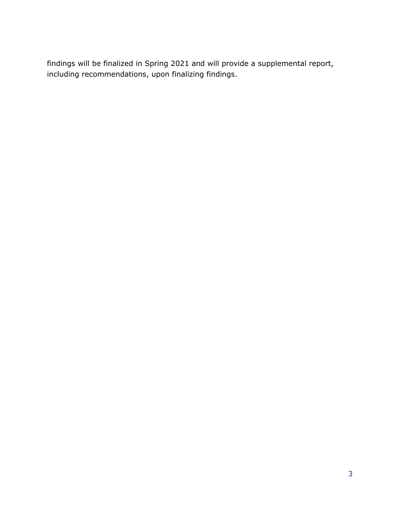findings will be finalized in Spring 2021 and will provide a supplemental report, including recommendations, upon finalizing findings.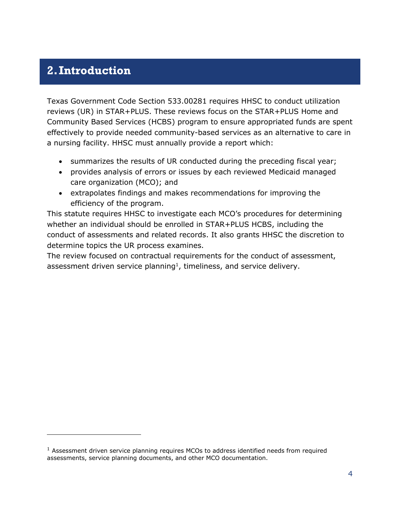#### <span id="page-4-0"></span>**2.Introduction**

Texas Government Code Section 533.00281 requires HHSC to conduct utilization reviews (UR) in STAR+PLUS. These reviews focus on the STAR+PLUS Home and Community Based Services (HCBS) program to ensure appropriated funds are spent effectively to provide needed community-based services as an alternative to care in a nursing facility. HHSC must annually provide a report which:

- summarizes the results of UR conducted during the preceding fiscal year;
- provides analysis of errors or issues by each reviewed Medicaid managed care organization (MCO); and
- extrapolates findings and makes recommendations for improving the efficiency of the program.

This statute requires HHSC to investigate each MCO's procedures for determining whether an individual should be enrolled in STAR+PLUS HCBS, including the conduct of assessments and related records. It also grants HHSC the discretion to determine topics the UR process examines.

The review focused on contractual requirements for the conduct of assessment, assessment driven service planning<sup>1</sup>, timeliness, and service delivery.

 $1$  Assessment driven service planning requires MCOs to address identified needs from required assessments, service planning documents, and other MCO documentation.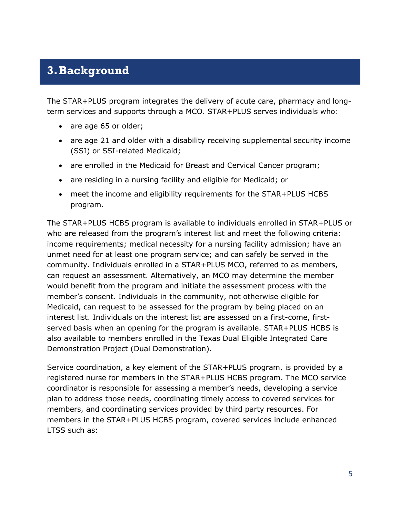#### <span id="page-5-0"></span>**3.Background**

The STAR+PLUS program integrates the delivery of acute care, pharmacy and longterm services and supports through a MCO. STAR+PLUS serves individuals who:

- are age 65 or older;
- are age 21 and older with a disability receiving supplemental security income (SSI) or SSI-related Medicaid;
- are enrolled in the Medicaid for Breast and Cervical Cancer program;
- are residing in a nursing facility and eligible for Medicaid; or
- meet the income and eligibility requirements for the STAR+PLUS HCBS program.

The STAR+PLUS HCBS program is available to individuals enrolled in STAR+PLUS or who are released from the program's interest list and meet the following criteria: income requirements; medical necessity for a nursing facility admission; have an unmet need for at least one program service; and can safely be served in the community. Individuals enrolled in a STAR+PLUS MCO, referred to as members, can request an assessment. Alternatively, an MCO may determine the member would benefit from the program and initiate the assessment process with the member's consent. Individuals in the community, not otherwise eligible for Medicaid, can request to be assessed for the program by being placed on an interest list. Individuals on the interest list are assessed on a first-come, firstserved basis when an opening for the program is available. STAR+PLUS HCBS is also available to members enrolled in the Texas Dual Eligible Integrated Care Demonstration Project (Dual Demonstration).

Service coordination, a key element of the STAR+PLUS program, is provided by a registered nurse for members in the STAR+PLUS HCBS program. The MCO service coordinator is responsible for assessing a member's needs, developing a service plan to address those needs, coordinating timely access to covered services for members, and coordinating services provided by third party resources. For members in the STAR+PLUS HCBS program, covered services include enhanced LTSS such as: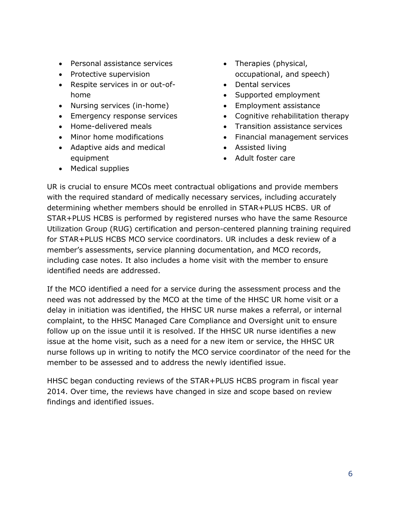- Personal assistance services
- Protective supervision
- Respite services in or out-ofhome
- Nursing services (in-home)
- Emergency response services
- Home-delivered meals
- Minor home modifications
- Adaptive aids and medical equipment
- Therapies (physical, occupational, and speech)
- Dental services
- Supported employment
- Employment assistance
- Cognitive rehabilitation therapy
- Transition assistance services
- Financial management services
- Assisted living
- Adult foster care

• Medical supplies

UR is crucial to ensure MCOs meet contractual obligations and provide members with the required standard of medically necessary services, including accurately determining whether members should be enrolled in STAR+PLUS HCBS. UR of STAR+PLUS HCBS is performed by registered nurses who have the same Resource Utilization Group (RUG) certification and person-centered planning training required for STAR+PLUS HCBS MCO service coordinators. UR includes a desk review of a member's assessments, service planning documentation, and MCO records, including case notes. It also includes a home visit with the member to ensure identified needs are addressed.

If the MCO identified a need for a service during the assessment process and the need was not addressed by the MCO at the time of the HHSC UR home visit or a delay in initiation was identified, the HHSC UR nurse makes a referral, or internal complaint, to the HHSC Managed Care Compliance and Oversight unit to ensure follow up on the issue until it is resolved. If the HHSC UR nurse identifies a new issue at the home visit, such as a need for a new item or service, the HHSC UR nurse follows up in writing to notify the MCO service coordinator of the need for the member to be assessed and to address the newly identified issue.

HHSC began conducting reviews of the STAR+PLUS HCBS program in fiscal year 2014. Over time, the reviews have changed in size and scope based on review findings and identified issues.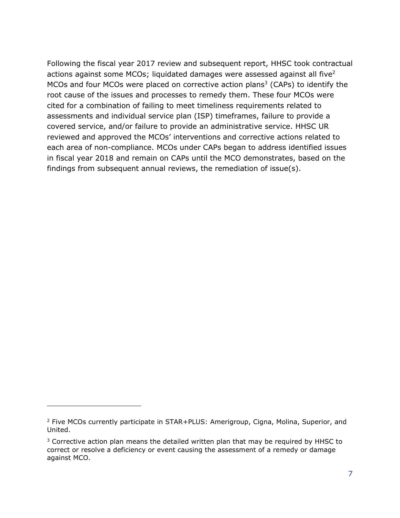Following the fiscal year 2017 review and subsequent report, HHSC took contractual actions against some MCOs; liquidated damages were assessed against all five<sup>2</sup> MCOs and four MCOs were placed on corrective action plans<sup>3</sup> (CAPs) to identify the root cause of the issues and processes to remedy them. These four MCOs were cited for a combination of failing to meet timeliness requirements related to assessments and individual service plan (ISP) timeframes, failure to provide a covered service, and/or failure to provide an administrative service. HHSC UR reviewed and approved the MCOs' interventions and corrective actions related to each area of non-compliance. MCOs under CAPs began to address identified issues in fiscal year 2018 and remain on CAPs until the MCO demonstrates, based on the findings from subsequent annual reviews, the remediation of issue(s).

 $2$  Five MCOs currently participate in STAR+PLUS: Amerigroup, Cigna, Molina, Superior, and United.

 $3$  Corrective action plan means the detailed written plan that may be required by HHSC to correct or resolve a deficiency or event causing the assessment of a remedy or damage against MCO.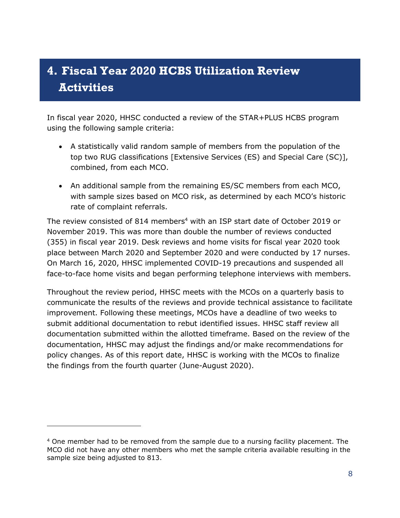# <span id="page-8-0"></span>**4. Fiscal Year 2020 HCBS Utilization Review Activities**

In fiscal year 2020, HHSC conducted a review of the STAR+PLUS HCBS program using the following sample criteria:

- A statistically valid random sample of members from the population of the top two RUG classifications [Extensive Services (ES) and Special Care (SC)], combined, from each MCO.
- An additional sample from the remaining ES/SC members from each MCO, with sample sizes based on MCO risk, as determined by each MCO's historic rate of complaint referrals.

The review consisted of 814 members<sup>4</sup> with an ISP start date of October 2019 or November 2019. This was more than double the number of reviews conducted (355) in fiscal year 2019. Desk reviews and home visits for fiscal year 2020 took place between March 2020 and September 2020 and were conducted by 17 nurses. On March 16, 2020, HHSC implemented COVID-19 precautions and suspended all face-to-face home visits and began performing telephone interviews with members.

Throughout the review period, HHSC meets with the MCOs on a quarterly basis to communicate the results of the reviews and provide technical assistance to facilitate improvement. Following these meetings, MCOs have a deadline of two weeks to submit additional documentation to rebut identified issues. HHSC staff review all documentation submitted within the allotted timeframe. Based on the review of the documentation, HHSC may adjust the findings and/or make recommendations for policy changes. As of this report date, HHSC is working with the MCOs to finalize the findings from the fourth quarter (June-August 2020).

<sup>&</sup>lt;sup>4</sup> One member had to be removed from the sample due to a nursing facility placement. The MCO did not have any other members who met the sample criteria available resulting in the sample size being adjusted to 813.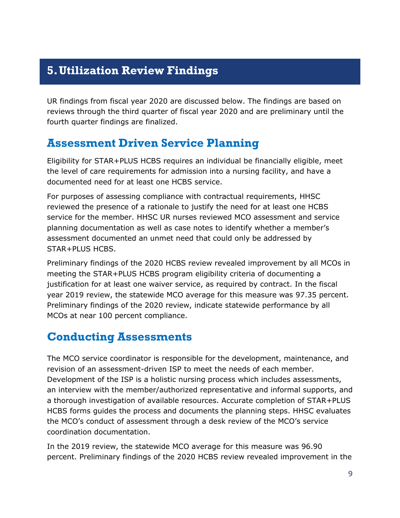#### <span id="page-9-0"></span>**5.Utilization Review Findings**

UR findings from fiscal year 2020 are discussed below. The findings are based on reviews through the third quarter of fiscal year 2020 and are preliminary until the fourth quarter findings are finalized.

#### <span id="page-9-1"></span>**Assessment Driven Service Planning**

Eligibility for STAR+PLUS HCBS requires an individual be financially eligible, meet the level of care requirements for admission into a nursing facility, and have a documented need for at least one HCBS service.

For purposes of assessing compliance with contractual requirements, HHSC reviewed the presence of a rationale to justify the need for at least one HCBS service for the member. HHSC UR nurses reviewed MCO assessment and service planning documentation as well as case notes to identify whether a member's assessment documented an unmet need that could only be addressed by STAR+PLUS HCBS.

Preliminary findings of the 2020 HCBS review revealed improvement by all MCOs in meeting the STAR+PLUS HCBS program eligibility criteria of documenting a justification for at least one waiver service, as required by contract. In the fiscal year 2019 review, the statewide MCO average for this measure was 97.35 percent. Preliminary findings of the 2020 review, indicate statewide performance by all MCOs at near 100 percent compliance.

#### <span id="page-9-2"></span>**Conducting Assessments**

The MCO service coordinator is responsible for the development, maintenance, and revision of an assessment-driven ISP to meet the needs of each member. Development of the ISP is a holistic nursing process which includes assessments, an interview with the member/authorized representative and informal supports, and a thorough investigation of available resources. Accurate completion of STAR+PLUS HCBS forms guides the process and documents the planning steps. HHSC evaluates the MCO's conduct of assessment through a desk review of the MCO's service coordination documentation.

In the 2019 review, the statewide MCO average for this measure was 96.90 percent. Preliminary findings of the 2020 HCBS review revealed improvement in the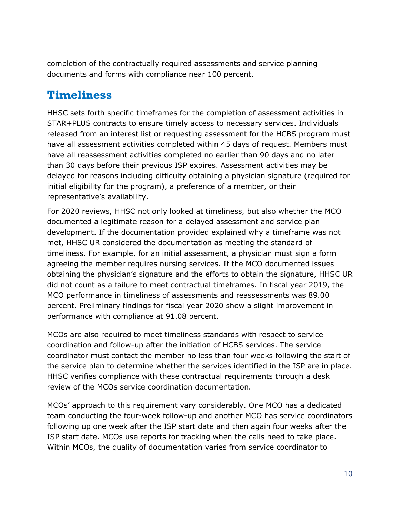completion of the contractually required assessments and service planning documents and forms with compliance near 100 percent.

#### <span id="page-10-0"></span>**Timeliness**

HHSC sets forth specific timeframes for the completion of assessment activities in STAR+PLUS contracts to ensure timely access to necessary services. Individuals released from an interest list or requesting assessment for the HCBS program must have all assessment activities completed within 45 days of request. Members must have all reassessment activities completed no earlier than 90 days and no later than 30 days before their previous ISP expires. Assessment activities may be delayed for reasons including difficulty obtaining a physician signature (required for initial eligibility for the program), a preference of a member, or their representative's availability.

For 2020 reviews, HHSC not only looked at timeliness, but also whether the MCO documented a legitimate reason for a delayed assessment and service plan development. If the documentation provided explained why a timeframe was not met, HHSC UR considered the documentation as meeting the standard of timeliness. For example, for an initial assessment, a physician must sign a form agreeing the member requires nursing services. If the MCO documented issues obtaining the physician's signature and the efforts to obtain the signature, HHSC UR did not count as a failure to meet contractual timeframes. In fiscal year 2019, the MCO performance in timeliness of assessments and reassessments was 89.00 percent. Preliminary findings for fiscal year 2020 show a slight improvement in performance with compliance at 91.08 percent.

MCOs are also required to meet timeliness standards with respect to service coordination and follow-up after the initiation of HCBS services. The service coordinator must contact the member no less than four weeks following the start of the service plan to determine whether the services identified in the ISP are in place. HHSC verifies compliance with these contractual requirements through a desk review of the MCOs service coordination documentation.

MCOs' approach to this requirement vary considerably. One MCO has a dedicated team conducting the four-week follow-up and another MCO has service coordinators following up one week after the ISP start date and then again four weeks after the ISP start date. MCOs use reports for tracking when the calls need to take place. Within MCOs, the quality of documentation varies from service coordinator to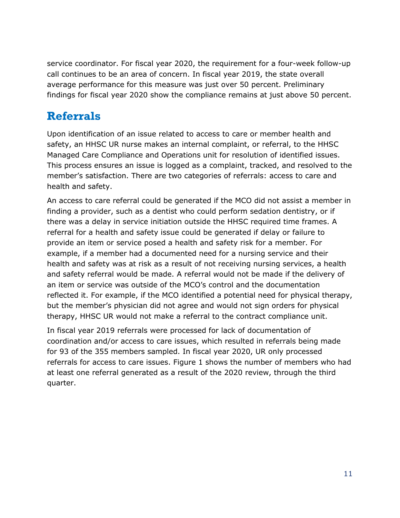service coordinator. For fiscal year 2020, the requirement for a four-week follow-up call continues to be an area of concern. In fiscal year 2019, the state overall average performance for this measure was just over 50 percent. Preliminary findings for fiscal year 2020 show the compliance remains at just above 50 percent.

#### <span id="page-11-0"></span>**Referrals**

Upon identification of an issue related to access to care or member health and safety, an HHSC UR nurse makes an internal complaint, or referral, to the HHSC Managed Care Compliance and Operations unit for resolution of identified issues. This process ensures an issue is logged as a complaint, tracked, and resolved to the member's satisfaction. There are two categories of referrals: access to care and health and safety.

An access to care referral could be generated if the MCO did not assist a member in finding a provider, such as a dentist who could perform sedation dentistry, or if there was a delay in service initiation outside the HHSC required time frames. A referral for a health and safety issue could be generated if delay or failure to provide an item or service posed a health and safety risk for a member. For example, if a member had a documented need for a nursing service and their health and safety was at risk as a result of not receiving nursing services, a health and safety referral would be made. A referral would not be made if the delivery of an item or service was outside of the MCO's control and the documentation reflected it. For example, if the MCO identified a potential need for physical therapy, but the member's physician did not agree and would not sign orders for physical therapy, HHSC UR would not make a referral to the contract compliance unit.

In fiscal year 2019 referrals were processed for lack of documentation of coordination and/or access to care issues, which resulted in referrals being made for 93 of the 355 members sampled. In fiscal year 2020, UR only processed referrals for access to care issues. Figure 1 shows the number of members who had at least one referral generated as a result of the 2020 review, through the third quarter.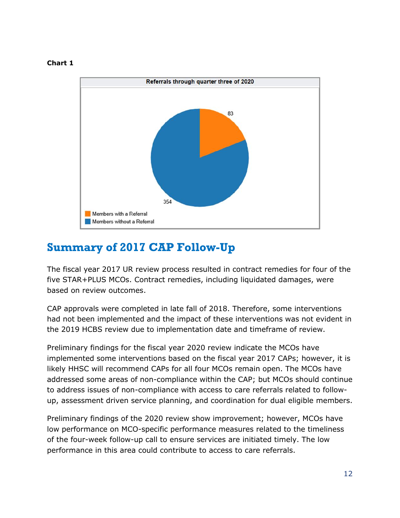#### **Chart 1**



#### <span id="page-12-0"></span>**Summary of 2017 CAP Follow-Up**

The fiscal year 2017 UR review process resulted in contract remedies for four of the five STAR+PLUS MCOs. Contract remedies, including liquidated damages, were based on review outcomes.

CAP approvals were completed in late fall of 2018. Therefore, some interventions had not been implemented and the impact of these interventions was not evident in the 2019 HCBS review due to implementation date and timeframe of review.

Preliminary findings for the fiscal year 2020 review indicate the MCOs have implemented some interventions based on the fiscal year 2017 CAPs; however, it is likely HHSC will recommend CAPs for all four MCOs remain open. The MCOs have addressed some areas of non-compliance within the CAP; but MCOs should continue to address issues of non-compliance with access to care referrals related to followup, assessment driven service planning, and coordination for dual eligible members.

Preliminary findings of the 2020 review show improvement; however, MCOs have low performance on MCO-specific performance measures related to the timeliness of the four-week follow-up call to ensure services are initiated timely. The low performance in this area could contribute to access to care referrals.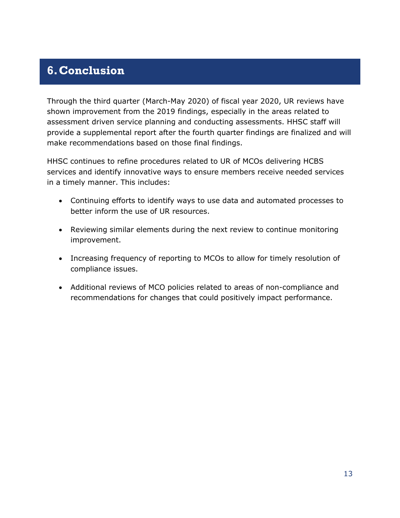#### <span id="page-13-0"></span>**6.Conclusion**

Through the third quarter (March-May 2020) of fiscal year 2020, UR reviews have shown improvement from the 2019 findings, especially in the areas related to assessment driven service planning and conducting assessments. HHSC staff will provide a supplemental report after the fourth quarter findings are finalized and will make recommendations based on those final findings.

HHSC continues to refine procedures related to UR of MCOs delivering HCBS services and identify innovative ways to ensure members receive needed services in a timely manner. This includes:

- Continuing efforts to identify ways to use data and automated processes to better inform the use of UR resources.
- Reviewing similar elements during the next review to continue monitoring improvement.
- Increasing frequency of reporting to MCOs to allow for timely resolution of compliance issues.
- Additional reviews of MCO policies related to areas of non-compliance and recommendations for changes that could positively impact performance.